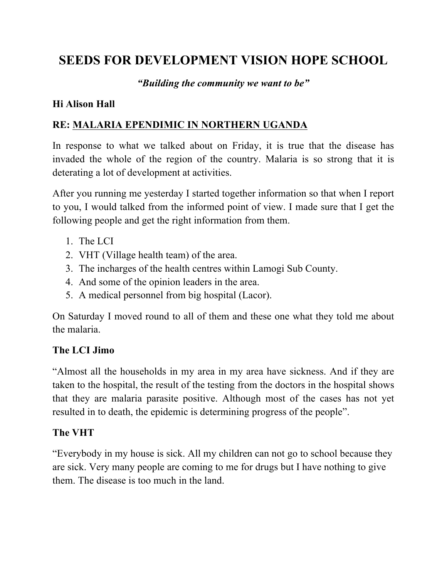# **SEEDS FOR DEVELOPMENT VISION HOPE SCHOOL**

#### *"Building the community we want to be"*

#### **Hi Alison Hall**

#### **RE: MALARIA EPENDIMIC IN NORTHERN UGANDA**

In response to what we talked about on Friday, it is true that the disease has invaded the whole of the region of the country. Malaria is so strong that it is deterating a lot of development at activities.

After you running me yesterday I started together information so that when I report to you, I would talked from the informed point of view. I made sure that I get the following people and get the right information from them.

- 1. The LCI
- 2. VHT (Village health team) of the area.
- 3. The incharges of the health centres within Lamogi Sub County.
- 4. And some of the opinion leaders in the area.
- 5. A medical personnel from big hospital (Lacor).

On Saturday I moved round to all of them and these one what they told me about the malaria.

#### **The LCI Jimo**

"Almost all the households in my area in my area have sickness. And if they are taken to the hospital, the result of the testing from the doctors in the hospital shows that they are malaria parasite positive. Although most of the cases has not yet resulted in to death, the epidemic is determining progress of the people".

#### **The VHT**

"Everybody in my house is sick. All my children can not go to school because they are sick. Very many people are coming to me for drugs but I have nothing to give them. The disease is too much in the land.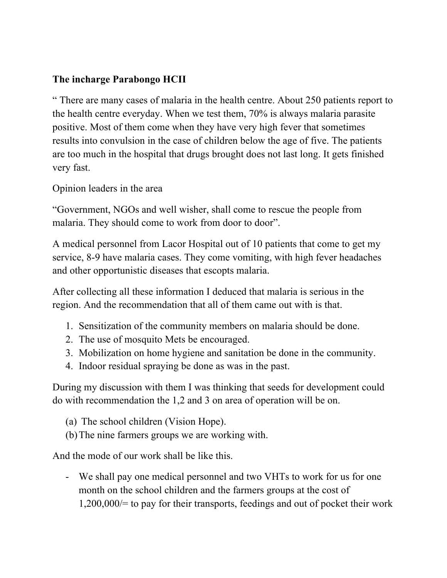### **The incharge Parabongo HCII**

" There are many cases of malaria in the health centre. About 250 patients report to the health centre everyday. When we test them, 70% is always malaria parasite positive. Most of them come when they have very high fever that sometimes results into convulsion in the case of children below the age of five. The patients are too much in the hospital that drugs brought does not last long. It gets finished very fast.

Opinion leaders in the area

"Government, NGOs and well wisher, shall come to rescue the people from malaria. They should come to work from door to door".

A medical personnel from Lacor Hospital out of 10 patients that come to get my service, 8-9 have malaria cases. They come vomiting, with high fever headaches and other opportunistic diseases that escopts malaria.

After collecting all these information I deduced that malaria is serious in the region. And the recommendation that all of them came out with is that.

- 1. Sensitization of the community members on malaria should be done.
- 2. The use of mosquito Mets be encouraged.
- 3. Mobilization on home hygiene and sanitation be done in the community.
- 4. Indoor residual spraying be done as was in the past.

During my discussion with them I was thinking that seeds for development could do with recommendation the 1,2 and 3 on area of operation will be on.

- (a) The school children (Vision Hope).
- (b)The nine farmers groups we are working with.

And the mode of our work shall be like this.

- We shall pay one medical personnel and two VHTs to work for us for one month on the school children and the farmers groups at the cost of 1,200,000/= to pay for their transports, feedings and out of pocket their work